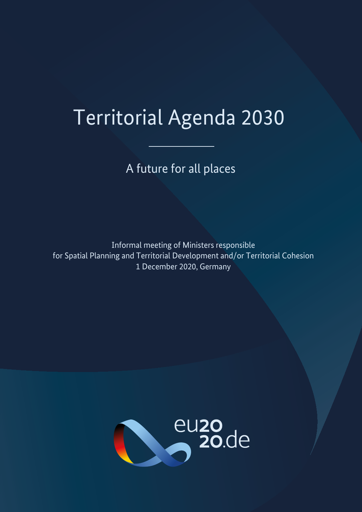# Territorial Agenda 2030

A future for all places

Informal meeting of Ministers responsible for Spatial Planning and Territorial Development and/or Territorial Cohesion 1 December 2020, Germany

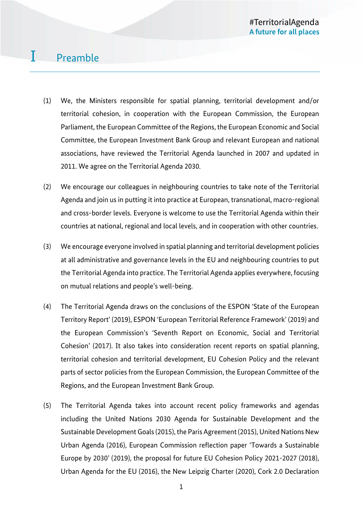### I Preamble

- (1) We, the Ministers responsible for spatial planning, territorial development and/or territorial cohesion, in cooperation with the European Commission, the European Parliament, the European Committee of the Regions, the European Economic and Social Committee, the European Investment Bank Group and relevant European and national associations, have reviewed the Territorial Agenda launched in 2007 and updated in 2011. We agree on the Territorial Agenda 2030.
- (2) We encourage our colleagues in neighbouring countries to take note of the Territorial Agenda and join us in putting it into practice at European, transnational, macro-regional and cross-border levels. Everyone is welcome to use the Territorial Agenda within their countries at national, regional and local levels, and in cooperation with other countries.
- (3) We encourage everyone involved in spatial planning and territorial development policies at all administrative and governance levels in the EU and neighbouring countries to put the Territorial Agenda into practice. The Territorial Agenda applies everywhere, focusing on mutual relations and people's well-being.
- (4) The Territorial Agenda draws on the conclusions of the ESPON 'State of the European Territory Report' (2019), ESPON 'European Territorial Reference Framework' (2019) and the European Commission's 'Seventh Report on Economic, Social and Territorial Cohesion' (2017). It also takes into consideration recent reports on spatial planning, territorial cohesion and territorial development, EU Cohesion Policy and the relevant parts of sector policies from the European Commission, the European Committee of the Regions, and the European Investment Bank Group.
- (5) The Territorial Agenda takes into account recent policy frameworks and agendas including the United Nations 2030 Agenda for Sustainable Development and the Sustainable Development Goals (2015), the Paris Agreement (2015), United Nations New Urban Agenda (2016), European Commission reflection paper 'Towards a Sustainable Europe by 2030' (2019), the proposal for future EU Cohesion Policy 2021-2027 (2018), Urban Agenda for the EU (2016), the New Leipzig Charter (2020), Cork 2.0 Declaration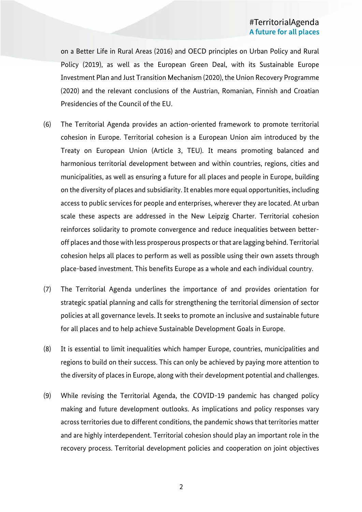on a Better Life in Rural Areas (2016) and OECD principles on Urban Policy and Rural Policy (2019), as well as the European Green Deal, with its Sustainable Europe Investment Plan and Just Transition Mechanism (2020), the Union Recovery Programme (2020) and the relevant conclusions of the Austrian, Romanian, Finnish and Croatian Presidencies of the Council of the EU.

- (6) The Territorial Agenda provides an action-oriented framework to promote territorial cohesion in Europe. Territorial cohesion is a European Union aim introduced by the Treaty on European Union (Article 3, TEU). It means promoting balanced and harmonious territorial development between and within countries, regions, cities and municipalities, as well as ensuring a future for all places and people in Europe, building on the diversity of places and subsidiarity. It enables more equal opportunities, including access to public services for people and enterprises, wherever they are located. At urban scale these aspects are addressed in the New Leipzig Charter. Territorial cohesion reinforces solidarity to promote convergence and reduce inequalities between betteroff places and those with less prosperous prospects or that are lagging behind. Territorial cohesion helps all places to perform as well as possible using their own assets through place-based investment. This benefits Europe as a whole and each individual country.
- (7) The Territorial Agenda underlines the importance of and provides orientation for strategic spatial planning and calls for strengthening the territorial dimension of sector policies at all governance levels. It seeks to promote an inclusive and sustainable future for all places and to help achieve Sustainable Development Goals in Europe.
- (8) It is essential to limit inequalities which hamper Europe, countries, municipalities and regions to build on their success. This can only be achieved by paying more attention to the diversity of places in Europe, along with their development potential and challenges.
- (9) While revising the Territorial Agenda, the COVID-19 pandemic has changed policy making and future development outlooks. As implications and policy responses vary across territories due to different conditions, the pandemic shows that territories matter and are highly interdependent. Territorial cohesion should play an important role in the recovery process. Territorial development policies and cooperation on joint objectives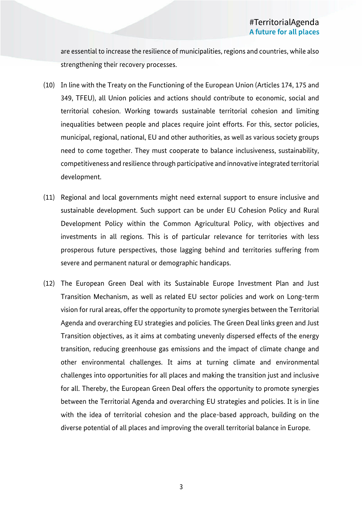are essential to increase the resilience of municipalities, regions and countries, while also strengthening their recovery processes.

- (10) In line with the Treaty on the Functioning of the European Union (Articles 174, 175 and 349, TFEU), all Union policies and actions should contribute to economic, social and territorial cohesion. Working towards sustainable territorial cohesion and limiting inequalities between people and places require joint efforts. For this, sector policies, municipal, regional, national, EU and other authorities, as well as various society groups need to come together. They must cooperate to balance inclusiveness, sustainability, competitiveness and resilience through participative and innovative integrated territorial development.
- (11) Regional and local governments might need external support to ensure inclusive and sustainable development. Such support can be under EU Cohesion Policy and Rural Development Policy within the Common Agricultural Policy, with objectives and investments in all regions. This is of particular relevance for territories with less prosperous future perspectives, those lagging behind and territories suffering from severe and permanent natural or demographic handicaps.
- (12) The European Green Deal with its Sustainable Europe Investment Plan and Just Transition Mechanism, as well as related EU sector policies and work on Long-term vision for rural areas, offer the opportunity to promote synergies between the Territorial Agenda and overarching EU strategies and policies. The Green Deal links green and Just Transition objectives, as it aims at combating unevenly dispersed effects of the energy transition, reducing greenhouse gas emissions and the impact of climate change and other environmental challenges. It aims at turning climate and environmental challenges into opportunities for all places and making the transition just and inclusive for all. Thereby, the European Green Deal offers the opportunity to promote synergies between the Territorial Agenda and overarching EU strategies and policies. It is in line with the idea of territorial cohesion and the place-based approach, building on the diverse potential of all places and improving the overall territorial balance in Europe.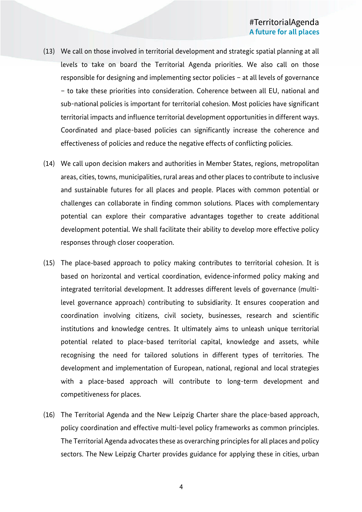- (13) We call on those involved in territorial development and strategic spatial planning at all levels to take on board the Territorial Agenda priorities. We also call on those responsible for designing and implementing sector policies – at all levels of governance – to take these priorities into consideration. Coherence between all EU, national and sub-national policies is important for territorial cohesion. Most policies have significant territorial impacts and influence territorial development opportunities in different ways. Coordinated and place-based policies can significantly increase the coherence and effectiveness of policies and reduce the negative effects of conflicting policies.
- (14) We call upon decision makers and authorities in Member States, regions, metropolitan areas, cities, towns, municipalities, rural areas and other places to contribute to inclusive and sustainable futures for all places and people. Places with common potential or challenges can collaborate in finding common solutions. Places with complementary potential can explore their comparative advantages together to create additional development potential. We shall facilitate their ability to develop more effective policy responses through closer cooperation.
- (15) The place-based approach to policy making contributes to territorial cohesion. It is based on horizontal and vertical coordination, evidence-informed policy making and integrated territorial development. It addresses different levels of governance (multilevel governance approach) contributing to subsidiarity. It ensures cooperation and coordination involving citizens, civil society, businesses, research and scientific institutions and knowledge centres. It ultimately aims to unleash unique territorial potential related to place-based territorial capital, knowledge and assets, while recognising the need for tailored solutions in different types of territories. The development and implementation of European, national, regional and local strategies with a place-based approach will contribute to long-term development and competitiveness for places.
- (16) The Territorial Agenda and the New Leipzig Charter share the place-based approach, policy coordination and effective multi-level policy frameworks as common principles. The Territorial Agenda advocates these as overarching principles for all places and policy sectors. The New Leipzig Charter provides guidance for applying these in cities, urban

4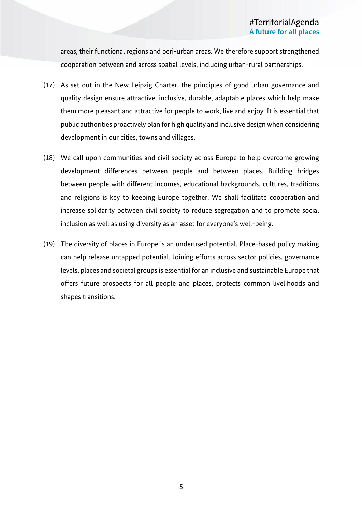areas, their functional regions and peri-urban areas. We therefore support strengthened cooperation between and across spatial levels, including urban-rural partnerships.

- (17) As set out in the New Leipzig Charter, the principles of good urban governance and quality design ensure attractive, inclusive, durable, adaptable places which help make them more pleasant and attractive for people to work, live and enjoy. It is essential that public authorities proactively plan for high quality and inclusive design when considering development in our cities, towns and villages.
- (18) We call upon communities and civil society across Europe to help overcome growing development differences between people and between places. Building bridges between people with different incomes, educational backgrounds, cultures, traditions and religions is key to keeping Europe together. We shall facilitate cooperation and increase solidarity between civil society to reduce segregation and to promote social inclusion as well as using diversity as an asset for everyone's well-being.
- (19) The diversity of places in Europe is an underused potential. Place-based policy making can help release untapped potential. Joining efforts across sector policies, governance levels, places and societal groups is essential for an inclusive and sustainable Europe that offers future prospects for all people and places, protects common livelihoods and shapes transitions.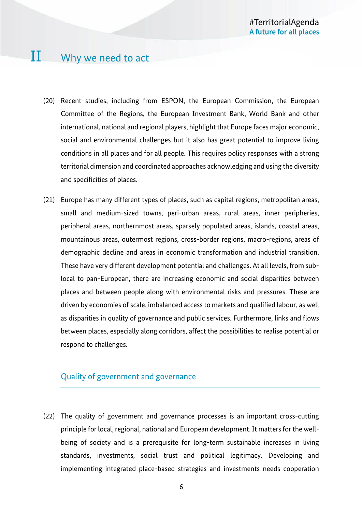- (20) Recent studies, including from ESPON, the European Commission, the European Committee of the Regions, the European Investment Bank, World Bank and other international, national and regional players, highlight that Europe faces major economic, social and environmental challenges but it also has great potential to improve living conditions in all places and for all people. This requires policy responses with a strong territorial dimension and coordinated approaches acknowledging and using the diversity and specificities of places.
- (21) Europe has many different types of places, such as capital regions, metropolitan areas, small and medium-sized towns, peri-urban areas, rural areas, inner peripheries, peripheral areas, northernmost areas, sparsely populated areas, islands, coastal areas, mountainous areas, outermost regions, cross-border regions, macro-regions, areas of demographic decline and areas in economic transformation and industrial transition. These have very different development potential and challenges. At all levels, from sublocal to pan-European, there are increasing economic and social disparities between places and between people along with environmental risks and pressures. These are driven by economies of scale, imbalanced access to markets and qualified labour, as well as disparities in quality of governance and public services. Furthermore, links and flows between places, especially along corridors, affect the possibilities to realise potential or respond to challenges.

### Quality of government and governance

(22) The quality of government and governance processes is an important cross-cutting principle for local, regional, national and European development. It matters for the wellbeing of society and is a prerequisite for long-term sustainable increases in living standards, investments, social trust and political legitimacy. Developing and implementing integrated place-based strategies and investments needs cooperation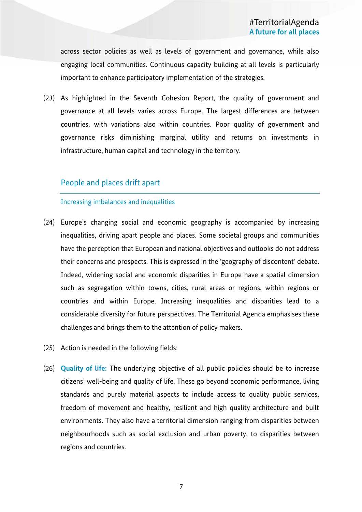across sector policies as well as levels of government and governance, while also engaging local communities. Continuous capacity building at all levels is particularly important to enhance participatory implementation of the strategies.

(23) As highlighted in the Seventh Cohesion Report, the quality of government and governance at all levels varies across Europe. The largest differences are between countries, with variations also within countries. Poor quality of government and governance risks diminishing marginal utility and returns on investments in infrastructure, human capital and technology in the territory.

### People and places drift apart

### Increasing imbalances and inequalities

- (24) Europe's changing social and economic geography is accompanied by increasing inequalities, driving apart people and places. Some societal groups and communities have the perception that European and national objectives and outlooks do not address their concerns and prospects. This is expressed in the 'geography of discontent' debate. Indeed, widening social and economic disparities in Europe have a spatial dimension such as segregation within towns, cities, rural areas or regions, within regions or countries and within Europe. Increasing inequalities and disparities lead to a considerable diversity for future perspectives. The Territorial Agenda emphasises these challenges and brings them to the attention of policy makers.
- (25) Action is needed in the following fields:
- (26) **Quality of life:** The underlying objective of all public policies should be to increase citizens' well-being and quality of life. These go beyond economic performance, living standards and purely material aspects to include access to quality public services, freedom of movement and healthy, resilient and high quality architecture and built environments. They also have a territorial dimension ranging from disparities between neighbourhoods such as social exclusion and urban poverty, to disparities between regions and countries.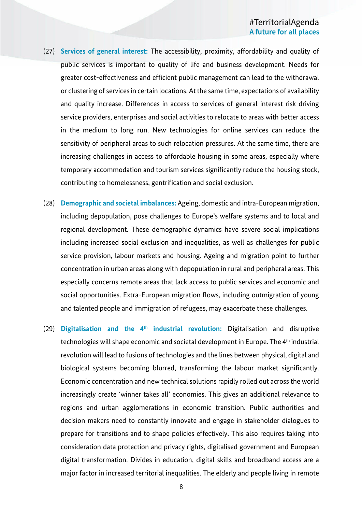- (27) **Services of general interest:** The accessibility, proximity, affordability and quality of public services is important to quality of life and business development. Needs for greater cost-effectiveness and efficient public management can lead to the withdrawal or clustering of services in certain locations. At the same time, expectations of availability and quality increase. Differences in access to services of general interest risk driving service providers, enterprises and social activities to relocate to areas with better access in the medium to long run. New technologies for online services can reduce the sensitivity of peripheral areas to such relocation pressures. At the same time, there are increasing challenges in access to affordable housing in some areas, especially where temporary accommodation and tourism services significantly reduce the housing stock, contributing to homelessness, gentrification and social exclusion.
- (28) **Demographic and societal imbalances:** Ageing, domestic and intra-European migration, including depopulation, pose challenges to Europe's welfare systems and to local and regional development. These demographic dynamics have severe social implications including increased social exclusion and inequalities, as well as challenges for public service provision, labour markets and housing. Ageing and migration point to further concentration in urban areas along with depopulation in rural and peripheral areas. This especially concerns remote areas that lack access to public services and economic and social opportunities. Extra-European migration flows, including outmigration of young and talented people and immigration of refugees, may exacerbate these challenges.
- (29) **Digitalisation and the 4th industrial revolution:** Digitalisation and disruptive technologies will shape economic and societal development in Europe. The 4<sup>th</sup> industrial revolution will lead to fusions of technologies and the lines between physical, digital and biological systems becoming blurred, transforming the labour market significantly. Economic concentration and new technical solutions rapidly rolled out across the world increasingly create 'winner takes all' economies. This gives an additional relevance to regions and urban agglomerations in economic transition. Public authorities and decision makers need to constantly innovate and engage in stakeholder dialogues to prepare for transitions and to shape policies effectively. This also requires taking into consideration data protection and privacy rights, digitalised government and European digital transformation. Divides in education, digital skills and broadband access are a major factor in increased territorial inequalities. The elderly and people living in remote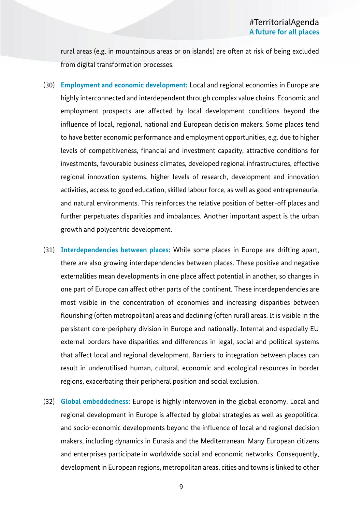rural areas (e.g. in mountainous areas or on islands) are often at risk of being excluded from digital transformation processes.

- (30) **Employment and economic development:** Local and regional economies in Europe are highly interconnected and interdependent through complex value chains. Economic and employment prospects are affected by local development conditions beyond the influence of local, regional, national and European decision makers. Some places tend to have better economic performance and employment opportunities, e.g. due to higher levels of competitiveness, financial and investment capacity, attractive conditions for investments, favourable business climates, developed regional infrastructures, effective regional innovation systems, higher levels of research, development and innovation activities, access to good education, skilled labour force, as well as good entrepreneurial and natural environments. This reinforces the relative position of better-off places and further perpetuates disparities and imbalances. Another important aspect is the urban growth and polycentric development.
- (31) **Interdependencies between places:** While some places in Europe are drifting apart, there are also growing interdependencies between places. These positive and negative externalities mean developments in one place affect potential in another, so changes in one part of Europe can affect other parts of the continent. These interdependencies are most visible in the concentration of economies and increasing disparities between flourishing (often metropolitan) areas and declining (often rural) areas. It is visible in the persistent core-periphery division in Europe and nationally. Internal and especially EU external borders have disparities and differences in legal, social and political systems that affect local and regional development. Barriers to integration between places can result in underutilised human, cultural, economic and ecological resources in border regions, exacerbating their peripheral position and social exclusion.
- (32) **Global embeddedness:** Europe is highly interwoven in the global economy. Local and regional development in Europe is affected by global strategies as well as geopolitical and socio-economic developments beyond the influence of local and regional decision makers, including dynamics in Eurasia and the Mediterranean. Many European citizens and enterprises participate in worldwide social and economic networks. Consequently, development in European regions, metropolitan areas, cities and towns is linked to other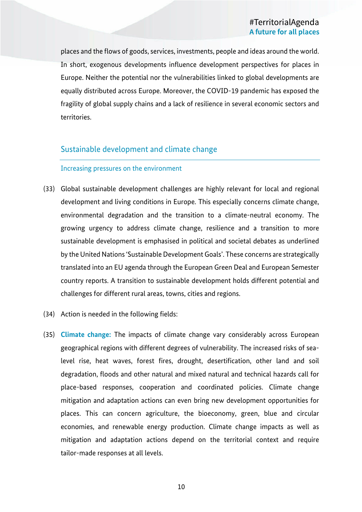places and the flows of goods, services, investments, people and ideas around the world. In short, exogenous developments influence development perspectives for places in Europe. Neither the potential nor the vulnerabilities linked to global developments are equally distributed across Europe. Moreover, the COVID-19 pandemic has exposed the fragility of global supply chains and a lack of resilience in several economic sectors and territories.

### Sustainable development and climate change

### Increasing pressures on the environment

- (33) Global sustainable development challenges are highly relevant for local and regional development and living conditions in Europe. This especially concerns climate change, environmental degradation and the transition to a climate-neutral economy. The growing urgency to address climate change, resilience and a transition to more sustainable development is emphasised in political and societal debates as underlined by the United Nations 'Sustainable Development Goals'. These concerns are strategically translated into an EU agenda through the European Green Deal and European Semester country reports. A transition to sustainable development holds different potential and challenges for different rural areas, towns, cities and regions.
- (34) Action is needed in the following fields:
- (35) **Climate change:** The impacts of climate change vary considerably across European geographical regions with different degrees of vulnerability. The increased risks of sealevel rise, heat waves, forest fires, drought, desertification, other land and soil degradation, floods and other natural and mixed natural and technical hazards call for place-based responses, cooperation and coordinated policies. Climate change mitigation and adaptation actions can even bring new development opportunities for places. This can concern agriculture, the bioeconomy, green, blue and circular economies, and renewable energy production. Climate change impacts as well as mitigation and adaptation actions depend on the territorial context and require tailor-made responses at all levels.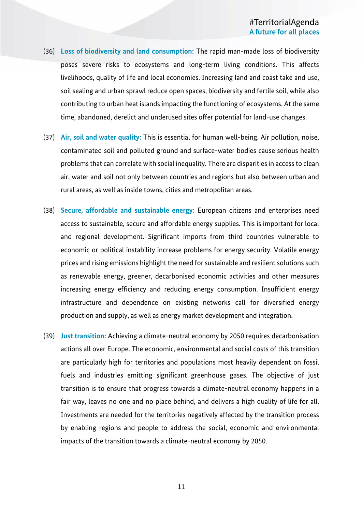- (36) **Loss of biodiversity and land consumption:** The rapid man-made loss of biodiversity poses severe risks to ecosystems and long-term living conditions. This affects livelihoods, quality of life and local economies. Increasing land and coast take and use, soil sealing and urban sprawl reduce open spaces, biodiversity and fertile soil, while also contributing to urban heat islands impacting the functioning of ecosystems. At the same time, abandoned, derelict and underused sites offer potential for land-use changes.
- (37) **Air, soil and water quality:** This is essential for human well-being. Air pollution, noise, contaminated soil and polluted ground and surface-water bodies cause serious health problems that can correlate with social inequality. There are disparities in access to clean air, water and soil not only between countries and regions but also between urban and rural areas, as well as inside towns, cities and metropolitan areas.
- (38) **Secure, affordable and sustainable energy:** European citizens and enterprises need access to sustainable, secure and affordable energy supplies. This is important for local and regional development. Significant imports from third countries vulnerable to economic or political instability increase problems for energy security. Volatile energy prices and rising emissions highlight the need for sustainable and resilient solutions such as renewable energy, greener, decarbonised economic activities and other measures increasing energy efficiency and reducing energy consumption. Insufficient energy infrastructure and dependence on existing networks call for diversified energy production and supply, as well as energy market development and integration.
- (39) **Just transition:** Achieving a climate-neutral economy by 2050 requires decarbonisation actions all over Europe. The economic, environmental and social costs of this transition are particularly high for territories and populations most heavily dependent on fossil fuels and industries emitting significant greenhouse gases. The objective of just transition is to ensure that progress towards a climate-neutral economy happens in a fair way, leaves no one and no place behind, and delivers a high quality of life for all. Investments are needed for the territories negatively affected by the transition process by enabling regions and people to address the social, economic and environmental impacts of the transition towards a climate-neutral economy by 2050.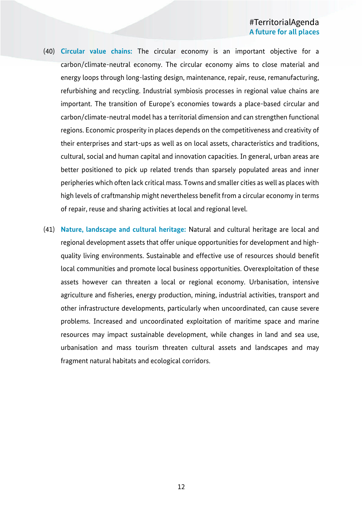- (40) **Circular value chains:** The circular economy is an important objective for a carbon/climate-neutral economy. The circular economy aims to close material and energy loops through long-lasting design, maintenance, repair, reuse, remanufacturing, refurbishing and recycling. Industrial symbiosis processes in regional value chains are important. The transition of Europe's economies towards a place-based circular and carbon/climate-neutral model has a territorial dimension and can strengthen functional regions. Economic prosperity in places depends on the competitiveness and creativity of their enterprises and start-ups as well as on local assets, characteristics and traditions, cultural, social and human capital and innovation capacities. In general, urban areas are better positioned to pick up related trends than sparsely populated areas and inner peripheries which often lack critical mass. Towns and smaller cities as well as places with high levels of craftmanship might nevertheless benefit from a circular economy in terms of repair, reuse and sharing activities at local and regional level.
- (41) **Nature, landscape and cultural heritage:** Natural and cultural heritage are local and regional development assets that offer unique opportunities for development and highquality living environments. Sustainable and effective use of resources should benefit local communities and promote local business opportunities. Overexploitation of these assets however can threaten a local or regional economy. Urbanisation, intensive agriculture and fisheries, energy production, mining, industrial activities, transport and other infrastructure developments, particularly when uncoordinated, can cause severe problems. Increased and uncoordinated exploitation of maritime space and marine resources may impact sustainable development, while changes in land and sea use, urbanisation and mass tourism threaten cultural assets and landscapes and may fragment natural habitats and ecological corridors.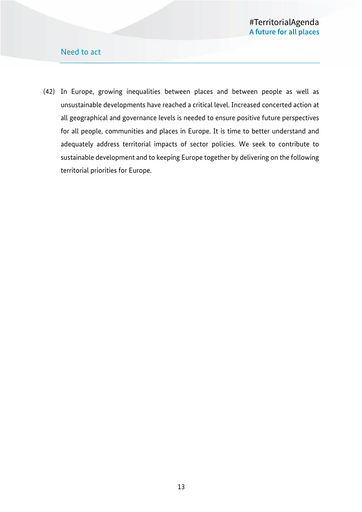### Need to act

(42) In Europe, growing inequalities between places and between people as well as unsustainable developments have reached a critical level. Increased concerted action at all geographical and governance levels is needed to ensure positive future perspectives for all people, communities and places in Europe. It is time to better understand and adequately address territorial impacts of sector policies. We seek to contribute to sustainable development and to keeping Europe together by delivering on the following territorial priorities for Europe.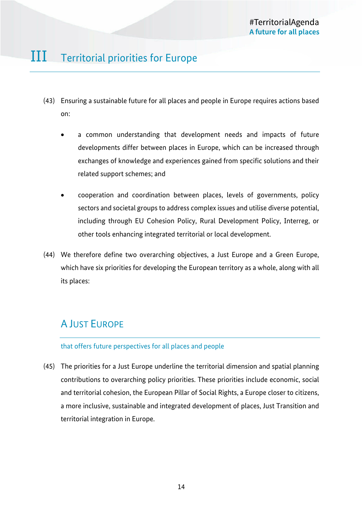# III Territorial priorities for Europe

- (43) Ensuring a sustainable future for all places and people in Europe requires actions based on:
	- a common understanding that development needs and impacts of future developments differ between places in Europe, which can be increased through exchanges of knowledge and experiences gained from specific solutions and their related support schemes; and
	- cooperation and coordination between places, levels of governments, policy sectors and societal groups to address complex issues and utilise diverse potential, including through EU Cohesion Policy, Rural Development Policy, Interreg, or other tools enhancing integrated territorial or local development.
- (44) We therefore define two overarching objectives, a Just Europe and a Green Europe, which have six priorities for developing the European territory as a whole, along with all its places:

### A JUST EUROPE

### that offers future perspectives for all places and people

(45) The priorities for a Just Europe underline the territorial dimension and spatial planning contributions to overarching policy priorities. These priorities include economic, social and territorial cohesion, the European Pillar of Social Rights, a Europe closer to citizens, a more inclusive, sustainable and integrated development of places, Just Transition and territorial integration in Europe.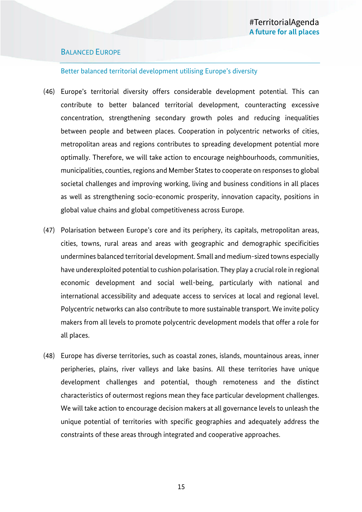### BALANCED EUROPE

### Better balanced territorial development utilising Europe's diversity

- (46) Europe's territorial diversity offers considerable development potential. This can contribute to better balanced territorial development, counteracting excessive concentration, strengthening secondary growth poles and reducing inequalities between people and between places. Cooperation in polycentric networks of cities, metropolitan areas and regions contributes to spreading development potential more optimally. Therefore, we will take action to encourage neighbourhoods, communities, municipalities, counties, regions and Member States to cooperate on responses to global societal challenges and improving working, living and business conditions in all places as well as strengthening socio-economic prosperity, innovation capacity, positions in global value chains and global competitiveness across Europe.
- (47) Polarisation between Europe's core and its periphery, its capitals, metropolitan areas, cities, towns, rural areas and areas with geographic and demographic specificities undermines balanced territorial development. Small and medium-sized towns especially have underexploited potential to cushion polarisation. They play a crucial role in regional economic development and social well-being, particularly with national and international accessibility and adequate access to services at local and regional level. Polycentric networks can also contribute to more sustainable transport. We invite policy makers from all levels to promote polycentric development models that offer a role for all places.
- (48) Europe has diverse territories, such as coastal zones, islands, mountainous areas, inner peripheries, plains, river valleys and lake basins. All these territories have unique development challenges and potential, though remoteness and the distinct characteristics of outermost regions mean they face particular development challenges. We will take action to encourage decision makers at all governance levels to unleash the unique potential of territories with specific geographies and adequately address the constraints of these areas through integrated and cooperative approaches.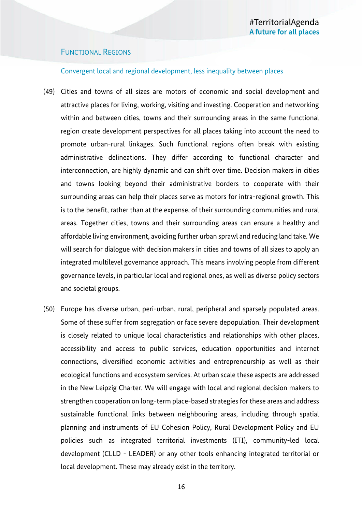### FUNCTIONAL REGIONS

#### Convergent local and regional development, less inequality between places

- (49) Cities and towns of all sizes are motors of economic and social development and attractive places for living, working, visiting and investing. Cooperation and networking within and between cities, towns and their surrounding areas in the same functional region create development perspectives for all places taking into account the need to promote urban-rural linkages. Such functional regions often break with existing administrative delineations. They differ according to functional character and interconnection, are highly dynamic and can shift over time. Decision makers in cities and towns looking beyond their administrative borders to cooperate with their surrounding areas can help their places serve as motors for intra-regional growth. This is to the benefit, rather than at the expense, of their surrounding communities and rural areas. Together cities, towns and their surrounding areas can ensure a healthy and affordable living environment, avoiding further urban sprawl and reducing land take. We will search for dialogue with decision makers in cities and towns of all sizes to apply an integrated multilevel governance approach. This means involving people from different governance levels, in particular local and regional ones, as well as diverse policy sectors and societal groups.
- (50) Europe has diverse urban, peri-urban, rural, peripheral and sparsely populated areas. Some of these suffer from segregation or face severe depopulation. Their development is closely related to unique local characteristics and relationships with other places, accessibility and access to public services, education opportunities and internet connections, diversified economic activities and entrepreneurship as well as their ecological functions and ecosystem services. At urban scale these aspects are addressed in the New Leipzig Charter. We will engage with local and regional decision makers to strengthen cooperation on long-term place-based strategies for these areas and address sustainable functional links between neighbouring areas, including through spatial planning and instruments of EU Cohesion Policy, Rural Development Policy and EU policies such as integrated territorial investments (ITI), community-led local development (CLLD - LEADER) or any other tools enhancing integrated territorial or local development. These may already exist in the territory.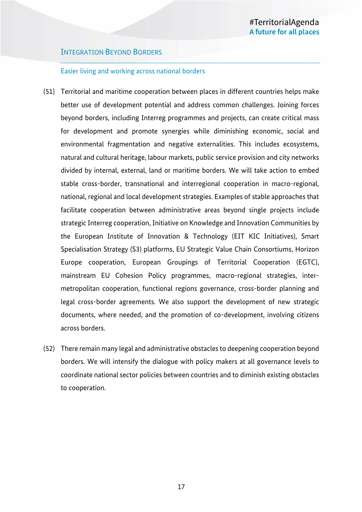### INTEGRATION BEYOND BORDERS

### Easier living and working across national borders

- (51) Territorial and maritime cooperation between places in different countries helps make better use of development potential and address common challenges. Joining forces beyond borders, including Interreg programmes and projects, can create critical mass for development and promote synergies while diminishing economic, social and environmental fragmentation and negative externalities. This includes ecosystems, natural and cultural heritage, labour markets, public service provision and city networks divided by internal, external, land or maritime borders. We will take action to embed stable cross-border, transnational and interregional cooperation in macro-regional, national, regional and local development strategies. Examples of stable approaches that facilitate cooperation between administrative areas beyond single projects include strategic Interreg cooperation, Initiative on Knowledge and Innovation Communities by the European Institute of Innovation & Technology (EIT KIC Initiatives), Smart Specialisation Strategy (S3) platforms, EU Strategic Value Chain Consortiums, Horizon Europe cooperation, European Groupings of Territorial Cooperation (EGTC), mainstream EU Cohesion Policy programmes, macro-regional strategies, intermetropolitan cooperation, functional regions governance, cross-border planning and legal cross-border agreements. We also support the development of new strategic documents, where needed, and the promotion of co-development, involving citizens across borders.
- (52) There remain many legal and administrative obstacles to deepening cooperation beyond borders. We will intensify the dialogue with policy makers at all governance levels to coordinate national sector policies between countries and to diminish existing obstacles to cooperation.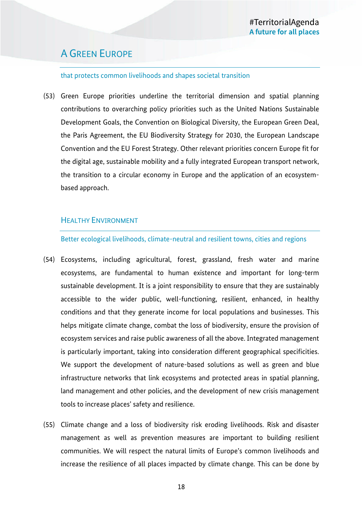### A GREEN EUROPE

#### that protects common livelihoods and shapes societal transition

(53) Green Europe priorities underline the territorial dimension and spatial planning contributions to overarching policy priorities such as the United Nations Sustainable Development Goals, the Convention on Biological Diversity, the European Green Deal, the Paris Agreement, the EU Biodiversity Strategy for 2030, the European Landscape Convention and the EU Forest Strategy. Other relevant priorities concern Europe fit for the digital age, sustainable mobility and a fully integrated European transport network, the transition to a circular economy in Europe and the application of an ecosystembased approach.

### HEALTHY ENVIRONMENT

### Better ecological livelihoods, climate-neutral and resilient towns, cities and regions

- (54) Ecosystems, including agricultural, forest, grassland, fresh water and marine ecosystems, are fundamental to human existence and important for long-term sustainable development. It is a joint responsibility to ensure that they are sustainably accessible to the wider public, well-functioning, resilient, enhanced, in healthy conditions and that they generate income for local populations and businesses. This helps mitigate climate change, combat the loss of biodiversity, ensure the provision of ecosystem services and raise public awareness of all the above. Integrated management is particularly important, taking into consideration different geographical specificities. We support the development of nature-based solutions as well as green and blue infrastructure networks that link ecosystems and protected areas in spatial planning, land management and other policies, and the development of new crisis management tools to increase places' safety and resilience.
- (55) Climate change and a loss of biodiversity risk eroding livelihoods. Risk and disaster management as well as prevention measures are important to building resilient communities. We will respect the natural limits of Europe's common livelihoods and increase the resilience of all places impacted by climate change. This can be done by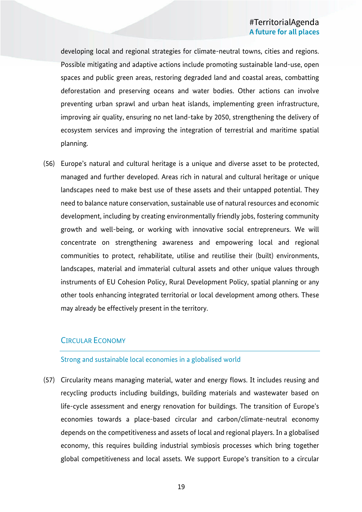developing local and regional strategies for climate-neutral towns, cities and regions. Possible mitigating and adaptive actions include promoting sustainable land-use, open spaces and public green areas, restoring degraded land and coastal areas, combatting deforestation and preserving oceans and water bodies. Other actions can involve preventing urban sprawl and urban heat islands, implementing green infrastructure, improving air quality, ensuring no net land-take by 2050, strengthening the delivery of ecosystem services and improving the integration of terrestrial and maritime spatial planning.

(56) Europe's natural and cultural heritage is a unique and diverse asset to be protected, managed and further developed. Areas rich in natural and cultural heritage or unique landscapes need to make best use of these assets and their untapped potential. They need to balance nature conservation, sustainable use of natural resources and economic development, including by creating environmentally friendly jobs, fostering community growth and well-being, or working with innovative social entrepreneurs. We will concentrate on strengthening awareness and empowering local and regional communities to protect, rehabilitate, utilise and reutilise their (built) environments, landscapes, material and immaterial cultural assets and other unique values through instruments of EU Cohesion Policy, Rural Development Policy, spatial planning or any other tools enhancing integrated territorial or local development among others. These may already be effectively present in the territory.

### CIRCULAR ECONOMY

### Strong and sustainable local economies in a globalised world

(57) Circularity means managing material, water and energy flows. It includes reusing and recycling products including buildings, building materials and wastewater based on life-cycle assessment and energy renovation for buildings. The transition of Europe's economies towards a place-based circular and carbon/climate-neutral economy depends on the competitiveness and assets of local and regional players. In a globalised economy, this requires building industrial symbiosis processes which bring together global competitiveness and local assets. We support Europe's transition to a circular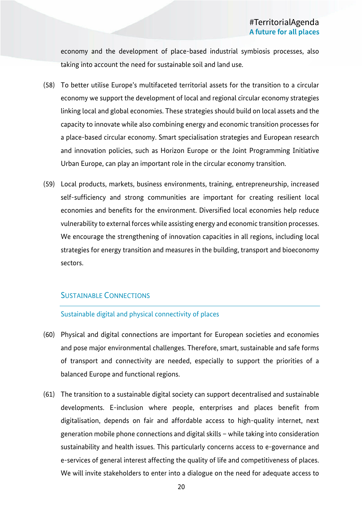economy and the development of place-based industrial symbiosis processes, also taking into account the need for sustainable soil and land use.

- (58) To better utilise Europe's multifaceted territorial assets for the transition to a circular economy we support the development of local and regional circular economy strategies linking local and global economies. These strategies should build on local assets and the capacity to innovate while also combining energy and economic transition processes for a place-based circular economy. Smart specialisation strategies and European research and innovation policies, such as Horizon Europe or the Joint Programming Initiative Urban Europe, can play an important role in the circular economy transition.
- (59) Local products, markets, business environments, training, entrepreneurship, increased self-sufficiency and strong communities are important for creating resilient local economies and benefits for the environment. Diversified local economies help reduce vulnerability to external forces while assisting energy and economic transition processes. We encourage the strengthening of innovation capacities in all regions, including local strategies for energy transition and measures in the building, transport and bioeconomy sectors.

### SUSTAINABLE CONNECTIONS

### Sustainable digital and physical connectivity of places

- (60) Physical and digital connections are important for European societies and economies and pose major environmental challenges. Therefore, smart, sustainable and safe forms of transport and connectivity are needed, especially to support the priorities of a balanced Europe and functional regions.
- (61) The transition to a sustainable digital society can support decentralised and sustainable developments. E-inclusion where people, enterprises and places benefit from digitalisation, depends on fair and affordable access to high-quality internet, next generation mobile phone connections and digital skills – while taking into consideration sustainability and health issues. This particularly concerns access to e-governance and e-services of general interest affecting the quality of life and competitiveness of places. We will invite stakeholders to enter into a dialogue on the need for adequate access to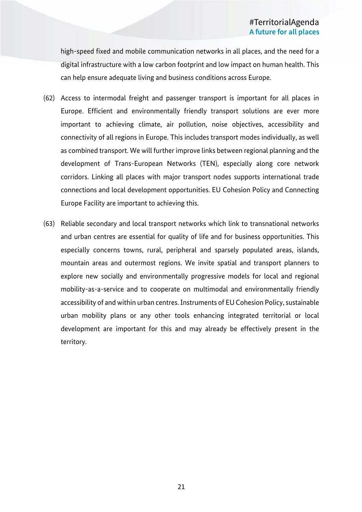high-speed fixed and mobile communication networks in all places, and the need for a digital infrastructure with a low carbon footprint and low impact on human health. This can help ensure adequate living and business conditions across Europe.

- (62) Access to intermodal freight and passenger transport is important for all places in Europe. Efficient and environmentally friendly transport solutions are ever more important to achieving climate, air pollution, noise objectives, accessibility and connectivity of all regions in Europe. This includes transport modes individually, as well as combined transport. We will further improve links between regional planning and the development of Trans-European Networks (TEN), especially along core network corridors. Linking all places with major transport nodes supports international trade connections and local development opportunities. EU Cohesion Policy and Connecting Europe Facility are important to achieving this.
- (63) Reliable secondary and local transport networks which link to transnational networks and urban centres are essential for quality of life and for business opportunities. This especially concerns towns, rural, peripheral and sparsely populated areas, islands, mountain areas and outermost regions. We invite spatial and transport planners to explore new socially and environmentally progressive models for local and regional mobility-as-a-service and to cooperate on multimodal and environmentally friendly accessibility of and within urban centres. Instruments of EU Cohesion Policy, sustainable urban mobility plans or any other tools enhancing integrated territorial or local development are important for this and may already be effectively present in the territory.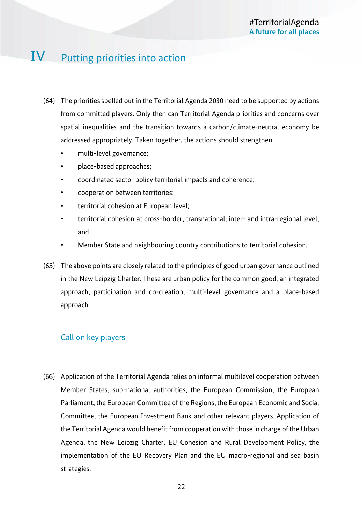# IV Putting priorities into action

- (64) The priorities spelled out in the Territorial Agenda 2030 need to be supported by actions from committed players. Only then can Territorial Agenda priorities and concerns over spatial inequalities and the transition towards a carbon/climate-neutral economy be addressed appropriately. Taken together, the actions should strengthen
	- multi-level governance;
	- place-based approaches;
	- coordinated sector policy territorial impacts and coherence;
	- cooperation between territories;
	- territorial cohesion at European level;
	- territorial cohesion at cross-border, transnational, inter- and intra-regional level; and
	- Member State and neighbouring country contributions to territorial cohesion.
- (65) The above points are closely related to the principles of good urban governance outlined in the New Leipzig Charter. These are urban policy for the common good, an integrated approach, participation and co-creation, multi-level governance and a place-based approach.

### Call on key players

(66) Application of the Territorial Agenda relies on informal multilevel cooperation between Member States, sub-national authorities, the European Commission, the European Parliament, the European Committee of the Regions, the European Economic and Social Committee, the European Investment Bank and other relevant players. Application of the Territorial Agenda would benefit from cooperation with those in charge of the Urban Agenda, the New Leipzig Charter, EU Cohesion and Rural Development Policy, the implementation of the EU Recovery Plan and the EU macro-regional and sea basin strategies.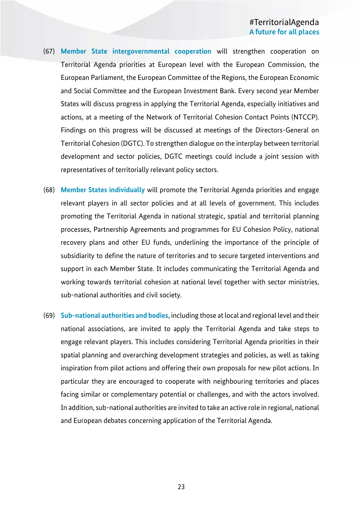- (67) **Member State intergovernmental cooperation** will strengthen cooperation on Territorial Agenda priorities at European level with the European Commission, the European Parliament, the European Committee of the Regions, the European Economic and Social Committee and the European Investment Bank. Every second year Member States will discuss progress in applying the Territorial Agenda, especially initiatives and actions, at a meeting of the Network of Territorial Cohesion Contact Points (NTCCP). Findings on this progress will be discussed at meetings of the Directors-General on Territorial Cohesion (DGTC). To strengthen dialogue on the interplay between territorial development and sector policies, DGTC meetings could include a joint session with representatives of territorially relevant policy sectors.
- (68) **Member States individually** will promote the Territorial Agenda priorities and engage relevant players in all sector policies and at all levels of government. This includes promoting the Territorial Agenda in national strategic, spatial and territorial planning processes, Partnership Agreements and programmes for EU Cohesion Policy, national recovery plans and other EU funds, underlining the importance of the principle of subsidiarity to define the nature of territories and to secure targeted interventions and support in each Member State. It includes communicating the Territorial Agenda and working towards territorial cohesion at national level together with sector ministries, sub-national authorities and civil society.
- (69) **Sub-national authorities and bodies**, including those at local and regional level and their national associations, are invited to apply the Territorial Agenda and take steps to engage relevant players. This includes considering Territorial Agenda priorities in their spatial planning and overarching development strategies and policies, as well as taking inspiration from pilot actions and offering their own proposals for new pilot actions. In particular they are encouraged to cooperate with neighbouring territories and places facing similar or complementary potential or challenges, and with the actors involved. In addition, sub-national authorities are invited to take an active role in regional, national and European debates concerning application of the Territorial Agenda.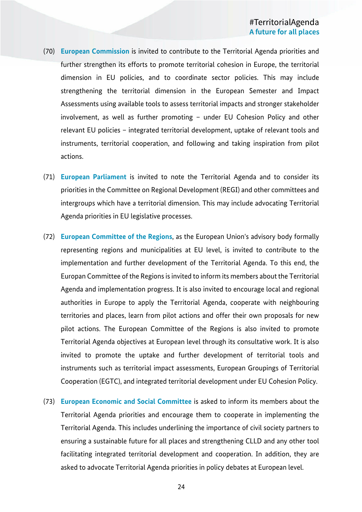- (70) **European Commission** is invited to contribute to the Territorial Agenda priorities and further strengthen its efforts to promote territorial cohesion in Europe, the territorial dimension in EU policies, and to coordinate sector policies. This may include strengthening the territorial dimension in the European Semester and Impact Assessments using available tools to assess territorial impacts and stronger stakeholder involvement, as well as further promoting – under EU Cohesion Policy and other relevant EU policies – integrated territorial development, uptake of relevant tools and instruments, territorial cooperation, and following and taking inspiration from pilot actions.
- (71) **European Parliament** is invited to note the Territorial Agenda and to consider its priorities in the Committee on Regional Development (REGI) and other committees and intergroups which have a territorial dimension. This may include advocating Territorial Agenda priorities in EU legislative processes.
- (72) **European Committee of the Regions**, as the European Union's advisory body formally representing regions and municipalities at EU level, is invited to contribute to the implementation and further development of the Territorial Agenda. To this end, the Europan Committee of the Regions is invited to inform its members about the Territorial Agenda and implementation progress. It is also invited to encourage local and regional authorities in Europe to apply the Territorial Agenda, cooperate with neighbouring territories and places, learn from pilot actions and offer their own proposals for new pilot actions. The European Committee of the Regions is also invited to promote Territorial Agenda objectives at European level through its consultative work. It is also invited to promote the uptake and further development of territorial tools and instruments such as territorial impact assessments, European Groupings of Territorial Cooperation (EGTC), and integrated territorial development under EU Cohesion Policy.
- (73) **European Economic and Social Committee** is asked to inform its members about the Territorial Agenda priorities and encourage them to cooperate in implementing the Territorial Agenda. This includes underlining the importance of civil society partners to ensuring a sustainable future for all places and strengthening CLLD and any other tool facilitating integrated territorial development and cooperation. In addition, they are asked to advocate Territorial Agenda priorities in policy debates at European level.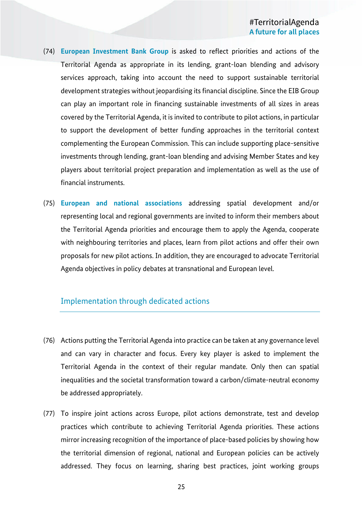- (74) **European Investment Bank Group** is asked to reflect priorities and actions of the Territorial Agenda as appropriate in its lending, grant-loan blending and advisory services approach, taking into account the need to support sustainable territorial development strategies without jeopardising its financial discipline. Since the EIB Group can play an important role in financing sustainable investments of all sizes in areas covered by the Territorial Agenda, it is invited to contribute to pilot actions, in particular to support the development of better funding approaches in the territorial context complementing the European Commission. This can include supporting place-sensitive investments through lending, grant-loan blending and advising Member States and key players about territorial project preparation and implementation as well as the use of financial instruments.
- (75) **European and national associations** addressing spatial development and/or representing local and regional governments are invited to inform their members about the Territorial Agenda priorities and encourage them to apply the Agenda, cooperate with neighbouring territories and places, learn from pilot actions and offer their own proposals for new pilot actions. In addition, they are encouraged to advocate Territorial Agenda objectives in policy debates at transnational and European level.

### Implementation through dedicated actions

- (76) Actions putting the Territorial Agenda into practice can be taken at any governance level and can vary in character and focus. Every key player is asked to implement the Territorial Agenda in the context of their regular mandate. Only then can spatial inequalities and the societal transformation toward a carbon/climate-neutral economy be addressed appropriately.
- (77) To inspire joint actions across Europe, pilot actions demonstrate, test and develop practices which contribute to achieving Territorial Agenda priorities. These actions mirror increasing recognition of the importance of place-based policies by showing how the territorial dimension of regional, national and European policies can be actively addressed. They focus on learning, sharing best practices, joint working groups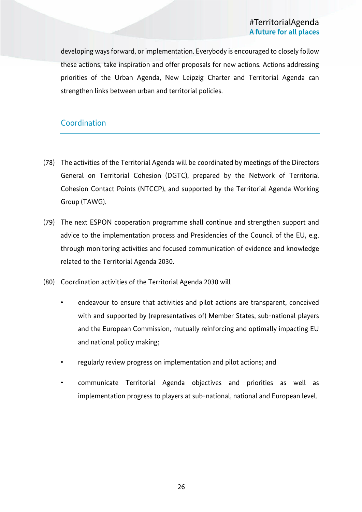developing ways forward, or implementation. Everybody is encouraged to closely follow these actions, take inspiration and offer proposals for new actions. Actions addressing priorities of the Urban Agenda, New Leipzig Charter and Territorial Agenda can strengthen links between urban and territorial policies.

### **Coordination**

- (78) The activities of the Territorial Agenda will be coordinated by meetings of the Directors General on Territorial Cohesion (DGTC), prepared by the Network of Territorial Cohesion Contact Points (NTCCP), and supported by the Territorial Agenda Working Group (TAWG).
- (79) The next ESPON cooperation programme shall continue and strengthen support and advice to the implementation process and Presidencies of the Council of the EU, e.g. through monitoring activities and focused communication of evidence and knowledge related to the Territorial Agenda 2030.
- (80) Coordination activities of the Territorial Agenda 2030 will
	- endeavour to ensure that activities and pilot actions are transparent, conceived with and supported by (representatives of) Member States, sub-national players and the European Commission, mutually reinforcing and optimally impacting EU and national policy making;
	- regularly review progress on implementation and pilot actions; and
	- communicate Territorial Agenda objectives and priorities as well as implementation progress to players at sub-national, national and European level.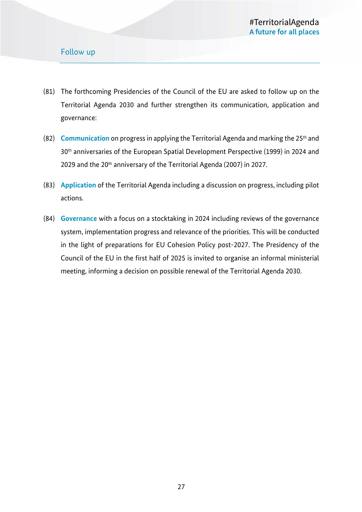### Follow up

- (81) The forthcoming Presidencies of the Council of the EU are asked to follow up on the Territorial Agenda 2030 and further strengthen its communication, application and governance:
- (82) **Communication** on progress in applying the Territorial Agenda and marking the 25th and 30th anniversaries of the European Spatial Development Perspective (1999) in 2024 and 2029 and the 20<sup>th</sup> anniversary of the Territorial Agenda (2007) in 2027.
- (83) **Application** of the Territorial Agenda including a discussion on progress, including pilot actions.
- (84) **Governance** with a focus on a stocktaking in 2024 including reviews of the governance system, implementation progress and relevance of the priorities. This will be conducted in the light of preparations for EU Cohesion Policy post-2027. The Presidency of the Council of the EU in the first half of 2025 is invited to organise an informal ministerial meeting, informing a decision on possible renewal of the Territorial Agenda 2030.